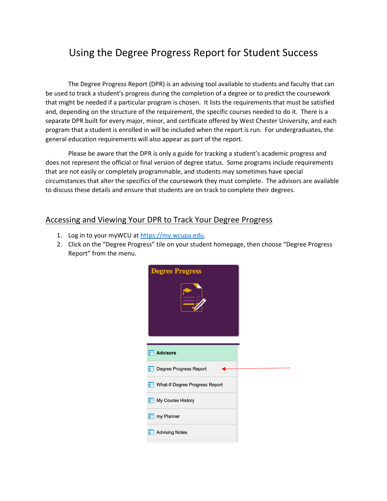# Using the Degree Progress Report for Student Success

The Degree Progress Report (DPR) is an advising tool available to students and faculty that can be used to track a student's progress during the completion of a degree or to predict the coursework that might be needed if a particular program is chosen. It lists the requirements that must be satisfied and, depending on the structure of the requirement, the specific courses needed to do it. There is a separate DPR built for every major, minor, and certificate offered by West Chester University, and each program that a student is enrolled in will be included when the report is run. For undergraduates, the general education requirements will also appear as part of the report.

Please be aware that the DPR is only a guide for tracking a student's academic progress and does not represent the official or final version of degree status. Some programs include requirements that are not easily or completely programmable, and students may sometimes have special circumstances that alter the specifics of the coursework they must complete. The advisors are available to discuss these details and ensure that students are on track to complete their degrees.

# Accessing and Viewing Your DPR to Track Your Degree Progress

- 1. Log in to your myWCU at [https://my.wcupa.edu.](https://my.wcupa.edu/)
- 2. Click on the "Degree Progress" tile on your student homepage, then choose "Degree Progress Report" from the menu.

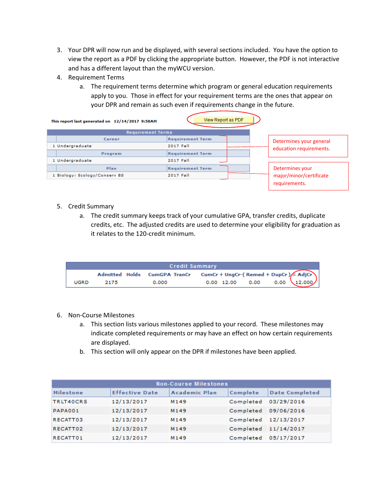- 3. Your DPR will now run and be displayed, with several sections included. You have the option to view the report as a PDF by clicking the appropriate button. However, the PDF is not interactive and has a different layout than the myWCU version.
- 4. Requirement Terms
	- a. The requirement terms determine which program or general education requirements apply to you. Those in effect for your requirement terms are the ones that appear on your DPR and remain as such even if requirements change in the future.

| This report last generated on 12/14/2017 9:58AM | View Report as PDF      |                         |
|-------------------------------------------------|-------------------------|-------------------------|
| <b>Requirement Terms</b>                        |                         |                         |
| Career                                          | <b>Requirement Term</b> | Determines your general |
| 1 Undergraduate                                 | 2017 Fall               | education requirements. |
| Program                                         | <b>Requirement Term</b> |                         |
| 1 Undergraduate                                 | 2017 Fall               |                         |
| Plan                                            | <b>Requirement Term</b> | Determines your         |
| 1 Biology: Ecology/Conserv BS                   | 2017 Fall               | major/minor/certificate |
|                                                 |                         | requirements.           |

- 5. Credit Summary
	- a. The credit summary keeps track of your cumulative GPA, transfer credits, duplicate credits, etc. The adjusted credits are used to determine your eligibility for graduation as it relates to the 120-credit minimum.

|      |      | <b>Credit Summary</b>                                            |  |                                       |
|------|------|------------------------------------------------------------------|--|---------------------------------------|
|      |      | Admitted Holds CumGPA TranCr CumCr + UngCr-(Remed + DupCr) AdjCr |  |                                       |
| UGRD | 2175 | 0.000                                                            |  | $0.00 \t12.00 \t0.00 \t0.00 \t12.000$ |

- 6. Non-Course Milestones
	- a. This section lists various milestones applied to your record. These milestones may indicate completed requirements or may have an effect on how certain requirements are displayed.
	- b. This section will only appear on the DPR if milestones have been applied.

| <b>Non-Course Milestones</b> |                       |                      |                      |                       |  |  |  |
|------------------------------|-----------------------|----------------------|----------------------|-----------------------|--|--|--|
| <b>Milestone</b>             | <b>Effective Date</b> | <b>Academic Plan</b> | Complete             | <b>Date Completed</b> |  |  |  |
| TRLT40CRS                    | 12/13/2017            | M <sub>149</sub>     | Completed            | 03/29/2016            |  |  |  |
| PAPA001                      | 12/13/2017            | M149                 | Completed 09/06/2016 |                       |  |  |  |
| RECATT03                     | 12/13/2017            | M149                 | Completed 12/13/2017 |                       |  |  |  |
| RECATT02                     | 12/13/2017            | M149                 | Completed 11/14/2017 |                       |  |  |  |
| RECATT01                     | 12/13/2017            | M <sub>149</sub>     | Completed            | 05/17/2017            |  |  |  |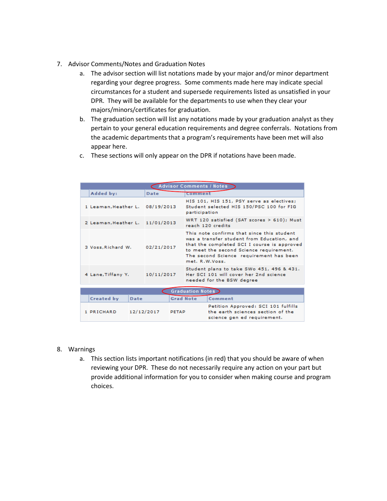- 7. Advisor Comments/Notes and Graduation Notes
	- a. The advisor section will list notations made by your major and/or minor department regarding your degree progress. Some comments made here may indicate special circumstances for a student and supersede requirements listed as unsatisfied in your DPR. They will be available for the departments to use when they clear your majors/minors/certificates for graduation.
	- b. The graduation section will list any notations made by your graduation analyst as they pertain to your general education requirements and degree conferrals. Notations from the academic departments that a program's requirements have been met will also appear here.
	- c. These sections will only appear on the DPR if notations have been made.

| <b>Advisor Comments / Notes</b> |      |                            |                  |                                                                                                                                                                                                                                                 |                                                                                                         |  |  |
|---------------------------------|------|----------------------------|------------------|-------------------------------------------------------------------------------------------------------------------------------------------------------------------------------------------------------------------------------------------------|---------------------------------------------------------------------------------------------------------|--|--|
| Added by:                       |      | Date                       |                  | Comment                                                                                                                                                                                                                                         |                                                                                                         |  |  |
| 1 Leaman, Heather L.            |      | 08/19/2013                 |                  | HIS 101, HIS 151, PSY serve as electives;<br>Student selected HIS 150/PSC 100 for FIG<br>participation                                                                                                                                          |                                                                                                         |  |  |
| 2 Leaman, Heather L.            |      | 11/01/2013                 |                  | WRT 120 satisfied (SAT scores $> 610$ ); Must<br>reach 120 credits                                                                                                                                                                              |                                                                                                         |  |  |
| 3 Voss, Richard W.              |      | 02/21/2017                 |                  | This note confirms that since this student<br>was a transfer student from Education, and<br>that the completed SCI I course is approved<br>to meet the second Science requirement.<br>The second Science requirement has been<br>met. R.W.Voss. |                                                                                                         |  |  |
| 4 Lane, Tiffany Y.              |      | 10/11/2017                 |                  | Student plans to take SWo 451, 496 & 431.<br>Her SCI 101 will cover her 2nd science<br>needed for the BSW degree                                                                                                                                |                                                                                                         |  |  |
|                                 |      |                            |                  |                                                                                                                                                                                                                                                 |                                                                                                         |  |  |
|                                 |      |                            |                  | <b>Graduation Notes</b>                                                                                                                                                                                                                         |                                                                                                         |  |  |
| Created by                      | Date |                            | <b>Grad Note</b> |                                                                                                                                                                                                                                                 | Comment                                                                                                 |  |  |
| 1 PRICHARD                      |      | 12/12/2017<br><b>PETAP</b> |                  |                                                                                                                                                                                                                                                 | Petition Approved: SCI 101 fulfills<br>the earth sciences section of the<br>science gen ed requirement. |  |  |

### 8. Warnings

a. This section lists important notifications (in red) that you should be aware of when reviewing your DPR. These do not necessarily require any action on your part but provide additional information for you to consider when making course and program choices.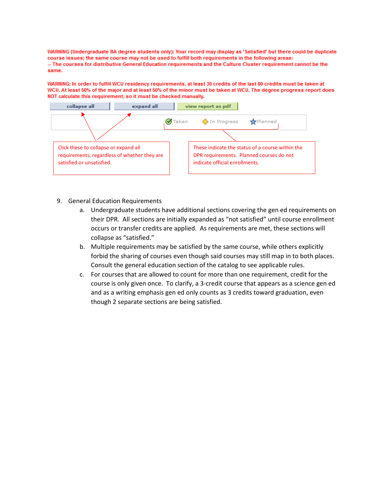WARNING (Undergraduate BA degree students only): Your record may display as 'Satisfied' but there could be duplicate course issues; the same course may not be used to fulfill both requirements in the following areas: -- The courses for distributive General Education requirements and the Culture Cluster requirement cannot be the same.

WARNING: In order to fulfill WCU residency requirements, at least 30 credits of the last 60 credits must be taken at WCU. At least 50% of the major and at least 50% of the minor must be taken at WCU. The degree progress report does NOT calculate this requirement, so it must be checked manually.



- 9. General Education Requirements
	- a. Undergraduate students have additional sections covering the gen ed requirements on their DPR. All sections are initially expanded as "not satisfied" until course enrollment occurs or transfer credits are applied. As requirements are met, these sections will collapse as "satisfied."
	- b. Multiple requirements may be satisfied by the same course, while others explicitly forbid the sharing of courses even though said courses may still map in to both places. Consult the general education section of the catalog to see applicable rules.
	- c. For courses that are allowed to count for more than one requirement, credit for the course is only given once. To clarify, a 3-credit course that appears as a science gen ed and as a writing emphasis gen ed only counts as 3 credits toward graduation, even though 2 separate sections are being satisfied.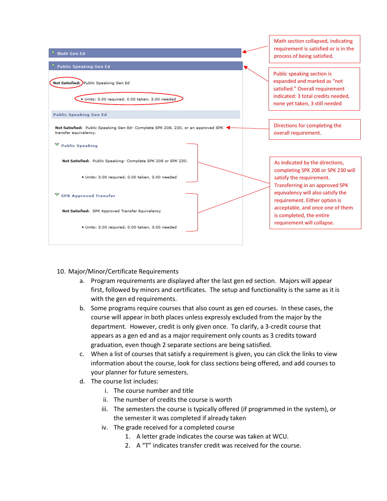

- 10. Major/Minor/Certificate Requirements
	- a. Program requirements are displayed after the last gen ed section. Majors will appear first, followed by minors and certificates. The setup and functionality is the same as it is with the gen ed requirements.
	- b. Some programs require courses that also count as gen ed courses. In these cases, the course will appear in both places unless expressly excluded from the major by the department. However, credit is only given once. To clarify, a 3-credit course that appears as a gen ed and as a major requirement only counts as 3 credits toward graduation, even though 2 separate sections are being satisfied.
	- c. When a list of courses that satisfy a requirement is given, you can click the links to view information about the course, look for class sections being offered, and add courses to your planner for future semesters.
	- d. The course list includes:
		- i. The course number and title
		- ii. The number of credits the course is worth
		- iii. The semesters the course is typically offered (if programmed in the system), or the semester it was completed if already taken
		- iv. The grade received for a completed course
			- 1. A letter grade indicates the course was taken at WCU.
			- 2. A "T" indicates transfer credit was received for the course.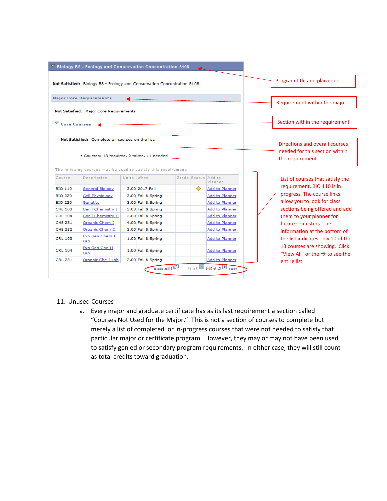|                                                                                        | <b>Biology BS - Ecology and Conservation Concentration S108</b>         |            |                    |                     |  |                |  |                                                                             |
|----------------------------------------------------------------------------------------|-------------------------------------------------------------------------|------------|--------------------|---------------------|--|----------------|--|-----------------------------------------------------------------------------|
|                                                                                        | Not Satisfied: Biology BS - Ecology and Conservation Concentration S108 |            |                    |                     |  |                |  | Program title and plan code                                                 |
|                                                                                        | <b>Major Core Requirements</b>                                          |            |                    |                     |  |                |  | Requirement within the major                                                |
|                                                                                        | Not Satisfied: Major Core Requirements                                  |            |                    |                     |  |                |  |                                                                             |
| ▽ Core Courses                                                                         |                                                                         |            |                    |                     |  |                |  | Section within the requirement                                              |
|                                                                                        | Not Satisfied: Complete all courses on the list.                        |            |                    |                     |  |                |  | Directions and overall courses                                              |
|                                                                                        | · Courses: 13 required, 2 taken, 11 needed                              |            |                    |                     |  |                |  | needed for this section within<br>the requirement                           |
|                                                                                        | The following courses may be used to satisfy this requirement:          |            |                    |                     |  |                |  |                                                                             |
| Course                                                                                 | Description                                                             | Units When |                    | Grade Status Add to |  | Planner        |  | List of courses that satisfy the                                            |
| <b>BIO 110</b>                                                                         | <b>General Biology</b>                                                  |            | 3.00 2017 Fall     |                     |  | Add to Planner |  | requirement. BIO 110 is in                                                  |
| <b>BIO 220</b>                                                                         | Cell Physiology                                                         |            | 3.00 Fall & Spring |                     |  | Add to Planner |  | progress. The course links                                                  |
| <b>BIO 230</b>                                                                         | Genetics                                                                |            | 3.00 Fall & Spring |                     |  | Add to Planner |  | allow you to look for class                                                 |
| <b>CHE 103</b>                                                                         | Gen'l Chemistry I                                                       |            | 3.00 Fall & Spring |                     |  | Add to Planner |  | sections being offered and add                                              |
|                                                                                        |                                                                         |            | 3.00 Fall & Spring |                     |  | Add to Planner |  | them to your planner for                                                    |
|                                                                                        | Gen'l Chemistry II                                                      |            |                    |                     |  |                |  |                                                                             |
|                                                                                        | Organic Chem I                                                          |            | 4.00 Fall & Spring |                     |  | Add to Planner |  | future semesters. The                                                       |
|                                                                                        | Organic Chem II                                                         |            | 3.00 Fall & Spring |                     |  | Add to Planner |  | information at the bottom of                                                |
|                                                                                        | Exp Gen Chem I<br>Lab                                                   |            | 1.00 Fall & Spring |                     |  | Add to Planner |  | the list indicates only 10 of the                                           |
| <b>CHE 104</b><br><b>CHE 231</b><br><b>CHE 232</b><br><b>CRL 103</b><br><b>CRL 104</b> | Exp Gen Che II<br>Lab                                                   |            | 1.00 Fall & Spring |                     |  | Add to Planner |  | 13 courses are showing. Click<br>"View All" or the $\rightarrow$ to see the |

- 11. Unused Courses
	- a. Every major and graduate certificate has as its last requirement a section called "Courses Not Used for the Major." This is not a section of courses to complete but merely a list of completed or in-progress courses that were not needed to satisfy that particular major or certificate program. However, they may or may not have been used to satisfy gen ed or secondary program requirements. In either case, they will still count as total credits toward graduation.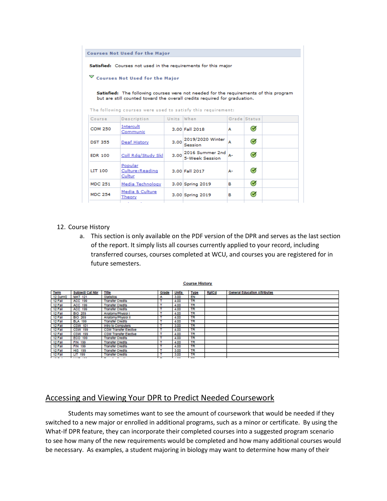|                                                                                                                                                                                                                                                                                                                                                        | <b>Courses Not Used for the Major</b> |            |                                   |    |                      |  |  |
|--------------------------------------------------------------------------------------------------------------------------------------------------------------------------------------------------------------------------------------------------------------------------------------------------------------------------------------------------------|---------------------------------------|------------|-----------------------------------|----|----------------------|--|--|
| Satisfied: Courses not used in the requirements for this major<br>$\triangledown$ Courses Not Used for the Major<br>Satisfied: The following courses were not needed for the requirements of this program<br>but are still counted toward the overall credits required for graduation.<br>The following courses were used to satisfy this requirement: |                                       |            |                                   |    |                      |  |  |
| Course                                                                                                                                                                                                                                                                                                                                                 | Description                           | Units When |                                   |    | Grade Status         |  |  |
| <b>COM 250</b>                                                                                                                                                                                                                                                                                                                                         | Intercult<br>Communic                 |            | 3.00 Fall 2018                    | А  | $\bm{\triangledown}$ |  |  |
| <b>DST 355</b>                                                                                                                                                                                                                                                                                                                                         | <b>Deaf History</b>                   | 3.00       | 2019/2020 Winter<br>Session       | A  | $\bm{\mathcal{G}}$   |  |  |
| <b>EDR 100</b>                                                                                                                                                                                                                                                                                                                                         | Coll Rdg/Study Skl                    | 3.00       | 2016 Summer 2nd<br>5-Week Session | А- | $\bm{\heartsuit}$    |  |  |
| LIT 100                                                                                                                                                                                                                                                                                                                                                | Popular<br>Culture: Reading<br>Cultur |            | 3.00 Fall 2017                    | А- | $\blacktriangledown$ |  |  |
| <b>MDC 251</b>                                                                                                                                                                                                                                                                                                                                         | Media Technology                      |            | 3.00 Spring 2019                  | в  | $\bm{\mathcal{G}}$   |  |  |
| <b>MDC 254</b>                                                                                                                                                                                                                                                                                                                                         | Media & Culture<br>Theory             |            | 3.00 Spring 2019                  | в  | $\bullet$            |  |  |

### 12. Course History

a. This section is only available on the PDF version of the DPR and serves as the last section of the report. It simply lists all courses currently applied to your record, including transferred courses, courses completed at WCU, and courses you are registered for in future semesters.

| Term     | Subject/ Cat Nbr | Title                        | Grade | <b>Units</b>         | <b>Type</b> | <b>RptCd</b> | <b>General Education Attributes</b> |
|----------|------------------|------------------------------|-------|----------------------|-------------|--------------|-------------------------------------|
| 12 Sumr2 | <b>MAT 121</b>   | Statistics                   | A     | 3.00                 | EN          |              |                                     |
| 12 Fall  | ACC 199          | <b>Transfer Credits</b>      |       | 4.00                 | <b>TR</b>   |              |                                     |
| 12 Fall  | ACC 199          | <b>Transfer Credits</b>      |       | 4.00                 | <b>TR</b>   |              |                                     |
| 12 Fall  | <b>ACC 199</b>   | <b>Transfer Credits</b>      |       | 4.00                 | TR          |              |                                     |
| 12 Fall  | <b>BIO 259</b>   | Anatomy/Physiol I            |       | 4.00                 | TR          |              |                                     |
| 12 Fall  | <b>BIO 269</b>   | Anatomy/Physiol II           |       | 4.00                 | <b>TR</b>   |              |                                     |
| 12 Fall  | <b>BLA 199</b>   | <b>Transfer Credits</b>      |       | 4.00                 | <b>TR</b>   |              |                                     |
| 12 Fall  | <b>CSW 101</b>   | Intro to Computers           | т     | 3.00                 | <b>TR</b>   |              |                                     |
| 12 Fall  | <b>CSW 199</b>   | <b>CSW Transfer Elective</b> |       | 4.00                 | TR          |              |                                     |
| 12 Fall  | CSW 199          | <b>CSW Transfer Elective</b> |       | 4.00                 | <b>TR</b>   |              |                                     |
| 12 Fall  | ECO 199          | <b>Transfer Credits</b>      |       | 4.00                 | <b>TR</b>   |              |                                     |
| 12 Fall  | <b>FIN 199</b>   | <b>Transfer Credits</b>      |       | 4.00                 | <b>TR</b>   |              |                                     |
| 12 Fall  | <b>FIN 199</b>   | <b>Transfer Credits</b>      |       | 4.00                 | <b>TR</b>   |              |                                     |
| 12 Fall  | <b>HIS 199</b>   | <b>Transfer Credits</b>      | т     | 3.00                 | <b>TR</b>   |              |                                     |
| 12 Fall  | LIT 199          | <b>Transfer Credits</b>      |       | 3.00                 | <b>TR</b>   |              |                                     |
| $   -$   |                  | - - - -                      | -     | $\sim$ $\sim$ $\sim$ | $-$         |              |                                     |

**Course History** 

# Accessing and Viewing Your DPR to Predict Needed Coursework

Students may sometimes want to see the amount of coursework that would be needed if they switched to a new major or enrolled in additional programs, such as a minor or certificate. By using the What-If DPR feature, they can incorporate their completed courses into a suggested program scenario to see how many of the new requirements would be completed and how many additional courses would be necessary. As examples, a student majoring in biology may want to determine how many of their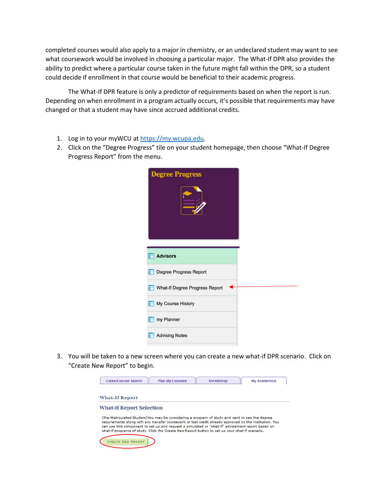completed courses would also apply to a major in chemistry, or an undeclared student may want to see what coursework would be involved in choosing a particular major. The What-If DPR also provides the ability to predict where a particular course taken in the future might fall within the DPR, so a student could decide if enrollment in that course would be beneficial to their academic progress.

The What-If DPR feature is only a predictor of requirements based on when the report is run. Depending on when enrollment in a program actually occurs, it's possible that requirements may have changed or that a student may have since accrued additional credits.

- 1. Log in to your myWCU at [https://my.wcupa.edu.](https://my.wcupa.edu/)
- 2. Click on the "Degree Progress" tile on your student homepage, then choose "What-If Degree Progress Report" from the menu.

| <b>Degree Progress</b>         |  |
|--------------------------------|--|
| <b>Advisors</b>                |  |
| Degree Progress Report         |  |
| What-If Degree Progress Report |  |
| My Course History              |  |
| my Planner                     |  |
| <b>Advising Notes</b>          |  |

3. You will be taken to a new screen where you can create a new what-if DPR scenario. Click on "Create New Report" to begin.

| Class/Course Search                                                                                                                                                                                                                                                                                                                                                                                             | <b>Plan My Courses</b> | <b>Enroll/Drop</b> | <b>My Academics</b> |
|-----------------------------------------------------------------------------------------------------------------------------------------------------------------------------------------------------------------------------------------------------------------------------------------------------------------------------------------------------------------------------------------------------------------|------------------------|--------------------|---------------------|
| <b>What-If Report</b>                                                                                                                                                                                                                                                                                                                                                                                           |                        |                    |                     |
| <b>What-if Report Selection</b>                                                                                                                                                                                                                                                                                                                                                                                 |                        |                    |                     |
| (Pre-Matriculated Student)You may be considering a program of study and want to see the degree<br>requirements along with any transfer coursework or test credit already approved by the institution. You<br>can use this component to set up and request a simulated or "what-if" advisement report based on<br>what-if programs of study. Click the Create New Report button to set up your what-if scenario. |                        |                    |                     |
| <b>CREATE NEW REPORT</b>                                                                                                                                                                                                                                                                                                                                                                                        |                        |                    |                     |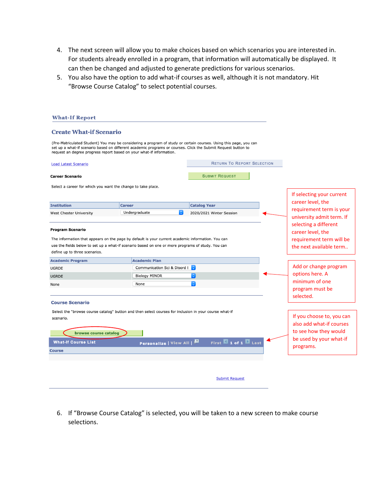- 4. The next screen will allow you to make choices based on which scenarios you are interested in. For students already enrolled in a program, that information will automatically be displayed. It can then be changed and adjusted to generate predictions for various scenarios.
- 5. You also have the option to add what-if courses as well, although it is not mandatory. Hit "Browse Course Catalog" to select potential courses.

| <b>What-If Report</b>                                        |                                                                                                                                                                                                                                                                                                            |                                   |                                                                                                   |
|--------------------------------------------------------------|------------------------------------------------------------------------------------------------------------------------------------------------------------------------------------------------------------------------------------------------------------------------------------------------------------|-----------------------------------|---------------------------------------------------------------------------------------------------|
| <b>Create What-if Scenario</b>                               |                                                                                                                                                                                                                                                                                                            |                                   |                                                                                                   |
|                                                              | (Pre-Matriculated Student) You may be considering a program of study or certain courses. Using this page, you can<br>set up a what-if scenario based on different academic programs or courses. Click the Submit Request button to<br>request an degree progress report based on your what-if information. |                                   |                                                                                                   |
| <b>Load Latest Scenario</b>                                  |                                                                                                                                                                                                                                                                                                            | <b>RETURN TO REPORT SELECTION</b> |                                                                                                   |
| <b>Career Scenario</b>                                       |                                                                                                                                                                                                                                                                                                            | <b>SUBMIT REQUEST</b>             |                                                                                                   |
| Select a career for which you want the change to take place. |                                                                                                                                                                                                                                                                                                            |                                   |                                                                                                   |
|                                                              |                                                                                                                                                                                                                                                                                                            |                                   | If selecting your current                                                                         |
| <b>Institution</b>                                           | <b>Career</b>                                                                                                                                                                                                                                                                                              | <b>Catalog Year</b>               | career level, the                                                                                 |
| West Chester University                                      | Undergraduate<br>्                                                                                                                                                                                                                                                                                         | 2020/2021 Winter Session          | requirement term is your                                                                          |
|                                                              |                                                                                                                                                                                                                                                                                                            |                                   | university admit term. If                                                                         |
| <b>Program Scenario</b><br>define up to three scenarios.     | The information that appears on the page by default is your current academic information. You can<br>use the fields below to set up a what-if scenario based on one or more programs of study. You can                                                                                                     |                                   | selecting a different<br>career level, the<br>requirement term will be<br>the next available term |
| <b>Academic Program</b>                                      | <b>Academic Plan</b>                                                                                                                                                                                                                                                                                       |                                   |                                                                                                   |
| <b>UGRDE</b>                                                 | Communication Sci & Disord F                                                                                                                                                                                                                                                                               |                                   | Add or change program                                                                             |
| <b>UGRDE</b>                                                 | <b>Biology MINOR</b>                                                                                                                                                                                                                                                                                       | $ \hat{\mathbf{v}} $              | options here. A                                                                                   |
| None                                                         | None                                                                                                                                                                                                                                                                                                       | $ \hat{\mathbf{c}} $              | minimum of one                                                                                    |
|                                                              |                                                                                                                                                                                                                                                                                                            |                                   | program must be                                                                                   |
| <b>Course Scenario</b>                                       |                                                                                                                                                                                                                                                                                                            |                                   | selected.                                                                                         |
|                                                              |                                                                                                                                                                                                                                                                                                            |                                   |                                                                                                   |
|                                                              | Select the "browse course catalog" button and then select courses for inclusion in your course what-if                                                                                                                                                                                                     |                                   | If you choose to, you can                                                                         |
| scenario.                                                    |                                                                                                                                                                                                                                                                                                            |                                   | also add what-if courses                                                                          |
| browse course catalog                                        |                                                                                                                                                                                                                                                                                                            |                                   | to see how they would                                                                             |
|                                                              |                                                                                                                                                                                                                                                                                                            |                                   | be used by your what-if                                                                           |
| <b>What-If Course List</b>                                   | Personalize   View All   E                                                                                                                                                                                                                                                                                 | First 1 of 1 Last                 | programs.                                                                                         |
| <b>Course</b>                                                |                                                                                                                                                                                                                                                                                                            |                                   |                                                                                                   |
|                                                              |                                                                                                                                                                                                                                                                                                            |                                   |                                                                                                   |
|                                                              |                                                                                                                                                                                                                                                                                                            |                                   |                                                                                                   |
|                                                              |                                                                                                                                                                                                                                                                                                            | <b>Submit Request</b>             |                                                                                                   |

6. If "Browse Course Catalog" is selected, you will be taken to a new screen to make course selections.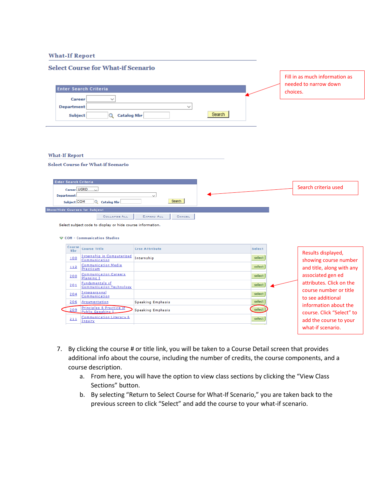### **What-If Report**

|                                                                                                           | <b>Select Course for What-if Scenario</b>                                                                          |                          |        |        |          |                                                         |
|-----------------------------------------------------------------------------------------------------------|--------------------------------------------------------------------------------------------------------------------|--------------------------|--------|--------|----------|---------------------------------------------------------|
|                                                                                                           |                                                                                                                    |                          |        |        |          | Fill in as much information as<br>needed to narrow down |
|                                                                                                           | <b>Enter Search Criteria</b>                                                                                       |                          |        |        | choices. |                                                         |
| <b>Career</b><br><b>Department</b><br><b>Subject</b>                                                      | $\checkmark$<br>Q Catalog Nbr                                                                                      | $\checkmark$             | Search |        |          |                                                         |
| <b>What-If Report</b>                                                                                     | <b>Select Course for What-if Scenario</b>                                                                          |                          |        |        |          |                                                         |
| Enter Search Criteria<br>Career UGRD<br><b>Department</b><br>Subject COM<br>Show/Hide Courses for Subject | $\vee$<br>Q Catalog Nbr                                                                                            | Search                   |        |        |          | Search criteria used                                    |
|                                                                                                           | <b>COLLAPSE ALL</b><br>Select subject code to display or hide course information.<br>▽ COM - Communication Studies | EXPAND ALL<br>CANCEL     |        |        |          |                                                         |
| Course<br>Nbr                                                                                             | <b>Course Title</b>                                                                                                | <b>Crse Attribute</b>    |        | Select |          |                                                         |
| 100                                                                                                       | <b>Internship in Computerized</b><br>Communication                                                                 | Internship               |        | select |          | Results displayed,                                      |
| 112                                                                                                       | <b>Communication Media</b><br>Practicum                                                                            |                          |        | select |          | showing course number<br>and title, along with any      |
| 200                                                                                                       | <b>Communication Careers</b><br>Planning I                                                                         |                          |        | select |          | associated gen ed                                       |
| 201                                                                                                       | Fundamentals of<br><b>Communication Technology</b>                                                                 |                          |        | select |          | attributes. Click on the                                |
| 204                                                                                                       | Interpersonal<br>Communication                                                                                     |                          |        | select |          | course number or title<br>to see additional             |
| 206                                                                                                       | Arqumentation                                                                                                      | <b>Speaking Emphasis</b> |        | select |          | information about the                                   |
| 209                                                                                                       | <b>Principles &amp; Practice of</b><br>Public Speaking L                                                           | <b>Speaking Emphasis</b> |        | select |          | course. Click "Select" to                               |
| 211                                                                                                       | <b>Communication Literacy &amp;</b><br>Inquiry                                                                     |                          |        | select |          | add the course to your                                  |
|                                                                                                           |                                                                                                                    |                          |        |        |          | what-if scenario.                                       |

- 7. By clicking the course # or title link, you will be taken to a Course Detail screen that provides additional info about the course, including the number of credits, the course components, and a course description.
	- a. From here, you will have the option to view class sections by clicking the "View Class Sections" button.
	- b. By selecting "Return to Select Course for What-If Scenario," you are taken back to the previous screen to click "Select" and add the course to your what-if scenario.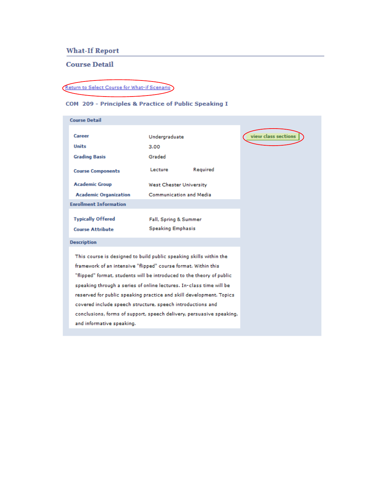# **What-If Report**

## **Course Detail**

# Return to Select Course for What-if Scenario

# COM 209 - Principles & Practice of Public Speaking I

| <b>Course Detail</b>                                                                                                                                                                                                                                                                                                                                                                                                                                                                                                           |                                                   |          |                     |
|--------------------------------------------------------------------------------------------------------------------------------------------------------------------------------------------------------------------------------------------------------------------------------------------------------------------------------------------------------------------------------------------------------------------------------------------------------------------------------------------------------------------------------|---------------------------------------------------|----------|---------------------|
| Career                                                                                                                                                                                                                                                                                                                                                                                                                                                                                                                         | Undergraduate                                     |          | view class sections |
| <b>Units</b>                                                                                                                                                                                                                                                                                                                                                                                                                                                                                                                   | 3.00                                              |          |                     |
| <b>Grading Basis</b>                                                                                                                                                                                                                                                                                                                                                                                                                                                                                                           | Graded                                            |          |                     |
| <b>Course Components</b>                                                                                                                                                                                                                                                                                                                                                                                                                                                                                                       | Lecture                                           | Required |                     |
| <b>Academic Group</b>                                                                                                                                                                                                                                                                                                                                                                                                                                                                                                          | <b>West Chester University</b>                    |          |                     |
| <b>Academic Organization</b>                                                                                                                                                                                                                                                                                                                                                                                                                                                                                                   | Communication and Media                           |          |                     |
| <b>Enrollment Information</b>                                                                                                                                                                                                                                                                                                                                                                                                                                                                                                  |                                                   |          |                     |
| <b>Typically Offered</b><br><b>Course Attribute</b>                                                                                                                                                                                                                                                                                                                                                                                                                                                                            | Fall, Spring & Summer<br><b>Speaking Emphasis</b> |          |                     |
| <b>Description</b>                                                                                                                                                                                                                                                                                                                                                                                                                                                                                                             |                                                   |          |                     |
| This course is designed to build public speaking skills within the<br>framework of an intensive "flipped" course format. Within this<br>"flipped" format, students will be introduced to the theory of public<br>speaking through a series of online lectures. In-class time will be<br>reserved for public speaking practice and skill development. Topics<br>covered include speech structure, speech introductions and<br>conclusions, forms of support, speech delivery, persuasive speaking,<br>and informative speaking. |                                                   |          |                     |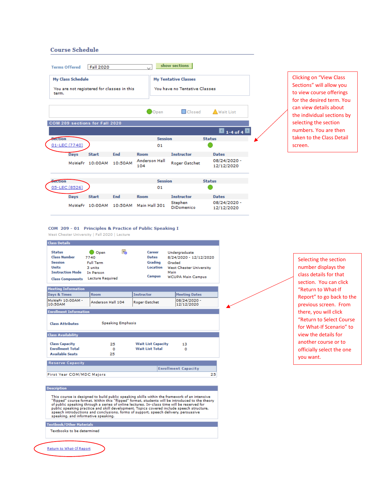#### **Course Schedule**

| <b>My Class Schedule</b> |                                                                                                                                                                                                                                |         |                             |                | <b>My Tentative Classes</b>          |                                        |
|--------------------------|--------------------------------------------------------------------------------------------------------------------------------------------------------------------------------------------------------------------------------|---------|-----------------------------|----------------|--------------------------------------|----------------------------------------|
|                          |                                                                                                                                                                                                                                |         |                             |                | <b>You have no Tentative Classes</b> |                                        |
| term.                    | You are not registered for classes in this                                                                                                                                                                                     |         |                             |                |                                      |                                        |
|                          |                                                                                                                                                                                                                                |         |                             |                |                                      |                                        |
|                          |                                                                                                                                                                                                                                |         |                             | Open           | <b>O</b> Closed                      | <b>Wait List</b>                       |
|                          | COM 209 sections for Fall 2020                                                                                                                                                                                                 |         |                             |                |                                      |                                        |
|                          |                                                                                                                                                                                                                                |         |                             |                |                                      | $\blacksquare$ 1-4 of 4 $\blacksquare$ |
| <b>Section</b>           |                                                                                                                                                                                                                                |         |                             | <b>Session</b> |                                      | <b>Status</b>                          |
| 01-LEC (7740)            |                                                                                                                                                                                                                                |         |                             | 01             |                                      |                                        |
| Days                     | <b>Start</b>                                                                                                                                                                                                                   | End     | <b>Room</b>                 |                | <b>Instructor</b>                    | <b>Dates</b>                           |
|                          | MoWeFr 10:00AM                                                                                                                                                                                                                 | 10:50AM | <b>Anderson Hall</b><br>104 |                | <b>Roger Gatchet</b>                 | 08/24/2020 -<br>12/12/2020             |
| <b>Section</b>           |                                                                                                                                                                                                                                |         |                             | <b>Session</b> |                                      | <b>Status</b>                          |
| 05-LEC (8526)            |                                                                                                                                                                                                                                |         |                             | 01             |                                      |                                        |
| Days                     | <b>Start</b>                                                                                                                                                                                                                   | End     | <b>Room</b>                 |                | <b>Instructor</b>                    | <b>Dates</b>                           |
|                          | the experience of the second contract of the second second second second second second second second second second second second second second second second second second second second second second second second second se |         |                             |                | Stephen                              | 08/24/2020 -                           |

DiDomenico

12/12/2020

**Clicking on "View Class** Sections" will allow you to view course offerings for the desired term. You can view details about the individual sections by selecting the section numbers. You are then taken to the Class Detail screen.

#### COM 209 - 01 Principles & Practice of Public Speaking I

MoWeFr 10:00AM 10:50AM Main Hall 301

West Chester University | Fall 2020 | Lecture



#### **Description**

This course is designed to build public speaking skills within the framework of an intensive "flipped" course format. Within this "flipped" format, students will be introduced to the theory of public speaking through a ser speaking, and informative speaking.

#### **Textbook/Other Materials**

Textbooks to be determined

Return to What-If Report

Selecting the section number displays the class details for that section. You can click "Return to What-If Report" to go back to the previous screen. From there, you will click "Return to Select Course for What-If Scenario" to view the details for another course or to officially select the one you want.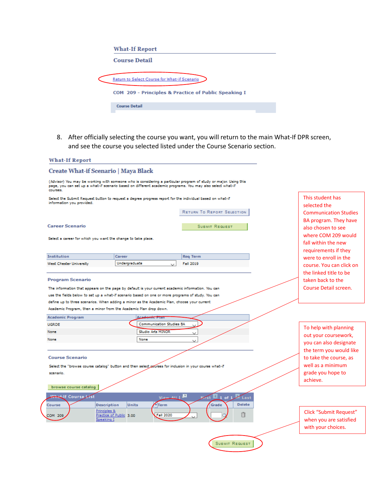| <b>What-If Report</b>                                |
|------------------------------------------------------|
| <b>Course Detail</b>                                 |
| Return to Select Course for What-if Scenario         |
| COM 209 - Principles & Practice of Public Speaking I |
| <b>Course Detail</b>                                 |

8. After officially selecting the course you want, you will return to the main What-If DPR screen, and see the course you selected listed under the Course Scenario section.

| <b>What-If Report</b>                                        |                                                                                                                                                                                                                              |                                        |                                                                    |
|--------------------------------------------------------------|------------------------------------------------------------------------------------------------------------------------------------------------------------------------------------------------------------------------------|----------------------------------------|--------------------------------------------------------------------|
| Create What-if Scenario   Maya Black                         |                                                                                                                                                                                                                              |                                        |                                                                    |
| courses.                                                     | (Advisor) You may be working with someone who is considering a particular program of study or major. Using this<br>page, you can set up a what-if scenario based on different academic programs. You may also select what-if |                                        |                                                                    |
| information you provided.                                    | Select the Submit Request button to request a degree progress report for the individual based on what-if                                                                                                                     |                                        | This student has<br>selected the                                   |
|                                                              |                                                                                                                                                                                                                              | <b>RETURN TO REPORT SELECTION</b>      | <b>Communication Studies</b>                                       |
| <b>Career Scenario</b>                                       |                                                                                                                                                                                                                              | <b>SUBMIT REQUEST</b>                  | BA program. They have<br>also chosen to see                        |
| Select a career for which you want the change to take place. |                                                                                                                                                                                                                              |                                        | where COM 209 would<br>fall within the new<br>requirements if they |
| Institution                                                  | Career                                                                                                                                                                                                                       | <b>Reg Term</b>                        | were to enroll in the                                              |
| West Chester University                                      | Undergraduate                                                                                                                                                                                                                | <b>Fall 2019</b>                       | course. You can click on                                           |
|                                                              |                                                                                                                                                                                                                              |                                        | the linked title to be                                             |
| <b>Program Scenario</b>                                      | The information that appears on the page by default is your current academic information. You can<br>use the fields below to set up a what-if scenario based on one or more programs of study. You can                       |                                        | taken back to the<br>Course Detail screen.                         |
|                                                              | define up to three scenarios. When adding a minor as the Academic Plan, choose your current<br>Academic Program, then a minor from the Academic Plan drop down.                                                              |                                        |                                                                    |
| <b>Academic Program</b>                                      | Acedemic Plan                                                                                                                                                                                                                |                                        |                                                                    |
| <b>UGRDE</b>                                                 | <b>Communication Studies BA</b>                                                                                                                                                                                              |                                        |                                                                    |
| None                                                         | <b>Studio Arts MINOR</b>                                                                                                                                                                                                     |                                        | To help with planning                                              |
| None                                                         | None                                                                                                                                                                                                                         | $\checkmark$                           | out your coursework,                                               |
|                                                              |                                                                                                                                                                                                                              | $\checkmark$                           | vou can also designate                                             |
|                                                              |                                                                                                                                                                                                                              |                                        | the term you would like                                            |
| <b>Course Scenario</b>                                       |                                                                                                                                                                                                                              |                                        | to take the course, as                                             |
|                                                              | Select the "browse course catalog" button and then select gourses for inclusion in your course what-if                                                                                                                       |                                        | well as a minimum                                                  |
| scenario.                                                    |                                                                                                                                                                                                                              |                                        | grade you hope to                                                  |
|                                                              |                                                                                                                                                                                                                              |                                        | achieve.                                                           |
| browse course catalog                                        |                                                                                                                                                                                                                              |                                        |                                                                    |
| What If Course List                                          | View ALL E                                                                                                                                                                                                                   | $\mathbf{d}_{1 \text{ of } 1}$<br>Last |                                                                    |
| Course                                                       | <b>Units</b><br>Description<br><b>Term</b>                                                                                                                                                                                   | <b>Delete</b><br>Grade                 |                                                                    |
| COM 209                                                      | Principles &<br>Practice of Public 3.00<br><b>Fall 2020</b><br>Speaking I                                                                                                                                                    |                                        | <b>Click "Submit Request"</b><br>when you are satisfied            |
|                                                              |                                                                                                                                                                                                                              |                                        | with your choices.                                                 |
|                                                              |                                                                                                                                                                                                                              |                                        |                                                                    |
|                                                              |                                                                                                                                                                                                                              | <b>SUBMIT REQUEST</b>                  |                                                                    |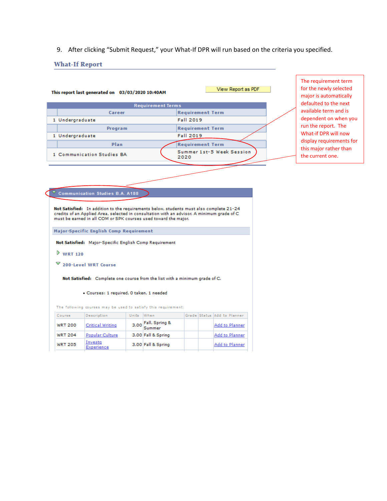9. After clicking "Submit Request," your What-If DPR will run based on the criteria you specified.

#### **What-If Report**

| This report last generated on 03/03/2020 10:40AM |                          | View Report as PDF                |  |
|--------------------------------------------------|--------------------------|-----------------------------------|--|
|                                                  | <b>Requirement Terms</b> |                                   |  |
| Career                                           |                          | <b>Requirement Term</b>           |  |
| 1 Undergraduate                                  |                          | Fall 2019                         |  |
| Program                                          |                          | <b>Requirement Term</b>           |  |
| 1 Undergraduate                                  |                          | Fall 2019                         |  |
| Plan                                             |                          | <b>Requirement Term</b>           |  |
| 1 Communication Studies BA                       |                          | Summer 1st-5 Week Session<br>2020 |  |
|                                                  |                          |                                   |  |

The requirement term for the newly selected major is automatically defaulted to the next available term and is dependent on when you run the report. The What-if DPR will now display requirements for this major rather than the current one.

#### Communication Studies B.A. A188

Not Satisfied: In addition to the requirements below, students must also complete 21-24 credits of an Applied Area, selected in consultation with an advisor. A minimum grade of C must be earned in all COM or SPK courses used toward the major.

Major-Specific English Comp Requirement

Not Satisfied: Major-Specific English Comp Requirement

- $\triangleright$  WRT 120
- $\triangledown$  200-Level WRT Course

Not Satisfied: Complete one course from the list with a minimum grade of C.

· Courses: 1 required, 0 taken, 1 needed

The following courses may be used to satisfy this requirement:

| Course         | Description           | <b>Units</b> | $W$ hen             |  | Grade Status Add to Planner |
|----------------|-----------------------|--------------|---------------------|--|-----------------------------|
| <b>WRT 200</b> | Critical Writing      |              | 3.00 Fall, Spring & |  | Add to Planner              |
| <b>WRT 204</b> | Popular Culture       |              | 3.00 Fall & Spring  |  | Add to Planner              |
| <b>WRT 205</b> | Investa<br>Experience |              | 3.00 Fall & Spring  |  | Add to Planner              |